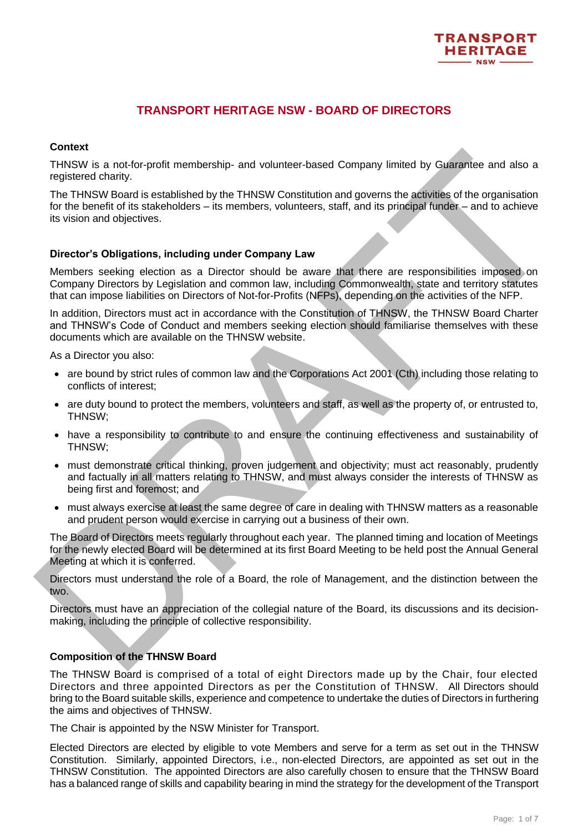

# **TRANSPORT HERITAGE NSW - BOARD OF DIRECTORS**

## **Context**

THNSW is a not-for-profit membership- and volunteer-based Company limited by Guarantee and also a registered charity.

THNSW is a not-for-profit membership- and volunteer-based Company limited by Guarantie and also a<br>The THNSW Board is established by the THNSW Constitution and governs the advirtise of the organisation<br>The THNSW Board is ta The THNSW Board is established by the THNSW Constitution and governs the activities of the organisation for the benefit of its stakeholders – its members, volunteers, staff, and its principal funder – and to achieve its vision and objectives.

## **Director's Obligations, including under Company Law**

Members seeking election as a Director should be aware that there are responsibilities imposed on Company Directors by Legislation and common law, including Commonwealth, state and territory statutes that can impose liabilities on Directors of Not-for-Profits (NFPs), depending on the activities of the NFP.

In addition, Directors must act in accordance with the Constitution of THNSW, the THNSW Board Charter and THNSW's Code of Conduct and members seeking election should familiarise themselves with these documents which are available on the THNSW website.

As a Director you also:

- are bound by strict rules of common law and the Corporations Act 2001 (Cth) including those relating to conflicts of interest;
- are duty bound to protect the members, volunteers and staff, as well as the property of, or entrusted to, THNSW;
- have a responsibility to contribute to and ensure the continuing effectiveness and sustainability of THNSW;
- must demonstrate critical thinking, proven judgement and objectivity; must act reasonably, prudently and factually in all matters relating to THNSW, and must always consider the interests of THNSW as being first and foremost; and
- must always exercise at least the same degree of care in dealing with THNSW matters as a reasonable and prudent person would exercise in carrying out a business of their own.

The Board of Directors meets regularly throughout each year. The planned timing and location of Meetings for the newly elected Board will be determined at its first Board Meeting to be held post the Annual General Meeting at which it is conferred.

Directors must understand the role of a Board, the role of Management, and the distinction between the two.

Directors must have an appreciation of the collegial nature of the Board, its discussions and its decisionmaking, including the principle of collective responsibility.

## **Composition of the THNSW Board**

The THNSW Board is comprised of a total of eight Directors made up by the Chair, four elected Directors and three appointed Directors as per the Constitution of THNSW. All Directors should bring to the Board suitable skills, experience and competence to undertake the duties of Directors in furthering the aims and objectives of THNSW.

The Chair is appointed by the NSW Minister for Transport.

Elected Directors are elected by eligible to vote Members and serve for a term as set out in the THNSW Constitution. Similarly, appointed Directors, i.e., non-elected Directors, are appointed as set out in the THNSW Constitution. The appointed Directors are also carefully chosen to ensure that the THNSW Board has a balanced range of skills and capability bearing in mind the strategy for the development of the Transport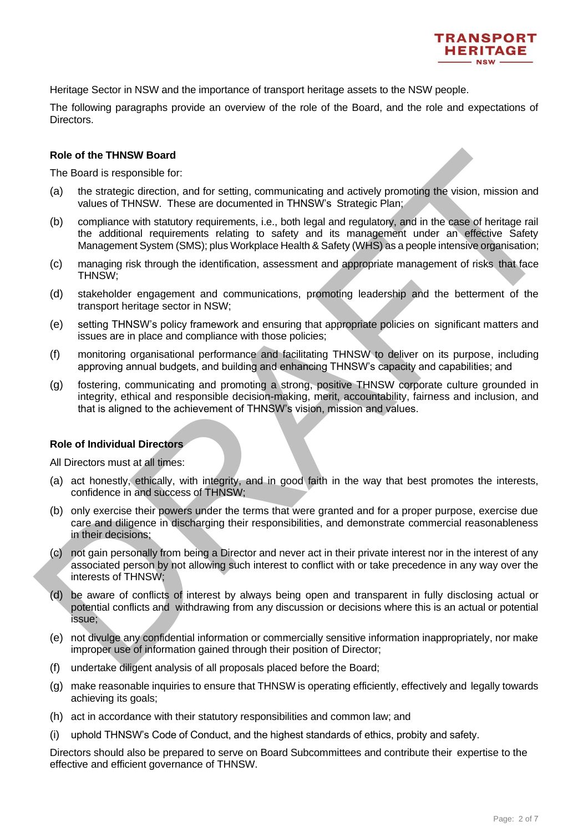

Heritage Sector in NSW and the importance of transport heritage assets to the NSW people.

The following paragraphs provide an overview of the role of the Board, and the role and expectations of Directors.

#### **Role of the THNSW Board**

The Board is responsible for:

- (a) the strategic direction, and for setting, communicating and actively promoting the vision, mission and values of THNSW. These are documented in THNSW's Strategic Plan;
- (b) compliance with statutory requirements, i.e., both legal and regulatory, and in the case of heritage rail the additional requirements relating to safety and its management under an effective Safety Management System (SMS); plus Workplace Health & Safety (WHS) as a people intensive organisation;
- (c) managing risk through the identification, assessment and appropriate management of risks that face THNSW;
- (d) stakeholder engagement and communications, promoting leadership and the betterment of the transport heritage sector in NSW;
- (e) setting THNSW's policy framework and ensuring that appropriate policies on significant matters and issues are in place and compliance with those policies;
- (f) monitoring organisational performance and facilitating THNSW to deliver on its purpose, including approving annual budgets, and building and enhancing THNSW's capacity and capabilities; and
- (g) fostering, communicating and promoting a strong, positive THNSW corporate culture grounded in integrity, ethical and responsible decision-making, merit, accountability, fairness and inclusion, and that is aligned to the achievement of THNSW's vision, mission and values.

#### **Role of Individual Directors**

All Directors must at all times:

- (a) act honestly, ethically, with integrity, and in good faith in the way that best promotes the interests, confidence in and success of THNSW;
- (b) only exercise their powers under the terms that were granted and for a proper purpose, exercise due care and diligence in discharging their responsibilities, and demonstrate commercial reasonableness in their decisions;
- Rele of the THNSW: Beart<br>
The Botter Strepposite for:<br>
The Botter Strepposite forcino, and for setting, communicating and actively promoting the vision, mission and<br>
via the strategic direction, and for setting. communicat (c) not gain personally from being a Director and never act in their private interest nor in the interest of any associated person by not allowing such interest to conflict with or take precedence in any way over the interests of THNSW;
	- (d) be aware of conflicts of interest by always being open and transparent in fully disclosing actual or potential conflicts and withdrawing from any discussion or decisions where this is an actual or potential issue;
	- (e) not divulge any confidential information or commercially sensitive information inappropriately, nor make improper use of information gained through their position of Director;
	- (f) undertake diligent analysis of all proposals placed before the Board;
	- (g) make reasonable inquiries to ensure that THNSW is operating efficiently, effectively and legally towards achieving its goals;
	- (h) act in accordance with their statutory responsibilities and common law; and
	- (i) uphold THNSW's Code of Conduct, and the highest standards of ethics, probity and safety.

Directors should also be prepared to serve on Board Subcommittees and contribute their expertise to the effective and efficient governance of THNSW.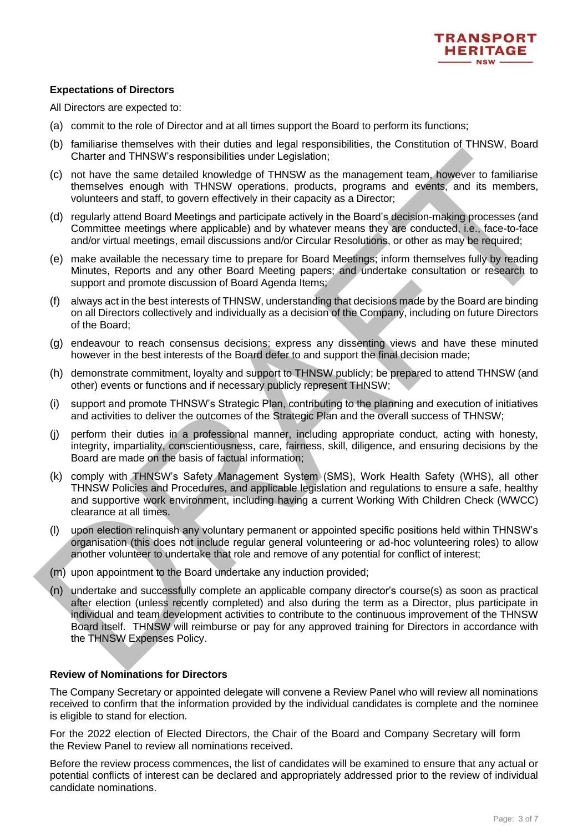

# **Expectations of Directors**

All Directors are expected to:

- (a) commit to the role of Director and at all times support the Board to perform its functions;
- (b) familiarise themselves with their duties and legal responsibilities, the Constitution of THNSW, Board Charter and THNSW's responsibilities under Legislation;
- (c) not have the same detailed knowledge of THNSW as the management team, however to familiarise themselves enough with THNSW operations, products, programs and events, and its members, volunteers and staff, to govern effectively in their capacity as a Director;
- (d) regularly attend Board Meetings and participate actively in the Board's decision-making processes (and Committee meetings where applicable) and by whatever means they are conducted, i.e., face-to-face and/or virtual meetings, email discussions and/or Circular Resolutions, or other as may be required;
- (e) make available the necessary time to prepare for Board Meetings; inform themselves fully by reading Minutes, Reports and any other Board Meeting papers; and undertake consultation or research to support and promote discussion of Board Agenda Items;
- (f) always act in the best interests of THNSW, understanding that decisions made by the Board are binding on all Directors collectively and individually as a decision of the Company, including on future Directors of the Board;
- (g) endeavour to reach consensus decisions; express any dissenting views and have these minuted however in the best interests of the Board defer to and support the final decision made;
- (h) demonstrate commitment, loyalty and support to THNSW publicly; be prepared to attend THNSW (and other) events or functions and if necessary publicly represent THNSW;
- (i) support and promote THNSW's Strategic Plan, contributing to the planning and execution of initiatives and activities to deliver the outcomes of the Strategic Plan and the overall success of THNSW;
- (j) perform their duties in a professional manner, including appropriate conduct, acting with honesty, integrity, impartiality, conscientiousness, care, fairness, skill, diligence, and ensuring decisions by the Board are made on the basis of factual information;
- (k) comply with THNSW's Safety Management System (SMS), Work Health Safety (WHS), all other THNSW Policies and Procedures, and applicable legislation and regulations to ensure a safe, healthy and supportive work environment, including having a current Working With Children Check (WWCC) clearance at all times.
- (l) upon election relinquish any voluntary permanent or appointed specific positions held within THNSW's organisation (this does not include regular general volunteering or ad-hoc volunteering roles) to allow another volunteer to undertake that role and remove of any potential for conflict of interest;
- (m) upon appointment to the Board undertake any induction provided;
- Charter and THNSW) are reportations and increasing the registration and evolution the method of the method of the state of the state of the state of the state of the state of the state of the state of the state of the stat (n) undertake and successfully complete an applicable company director's course(s) as soon as practical after election (unless recently completed) and also during the term as a Director, plus participate in individual and team development activities to contribute to the continuous improvement of the THNSW Board itself. THNSW will reimburse or pay for any approved training for Directors in accordance with the THNSW Expenses Policy.

## **Review of Nominations for Directors**

The Company Secretary or appointed delegate will convene a Review Panel who will review all nominations received to confirm that the information provided by the individual candidates is complete and the nominee is eligible to stand for election.

For the 2022 election of Elected Directors, the Chair of the Board and Company Secretary will form the Review Panel to review all nominations received.

Before the review process commences, the list of candidates will be examined to ensure that any actual or potential conflicts of interest can be declared and appropriately addressed prior to the review of individual candidate nominations.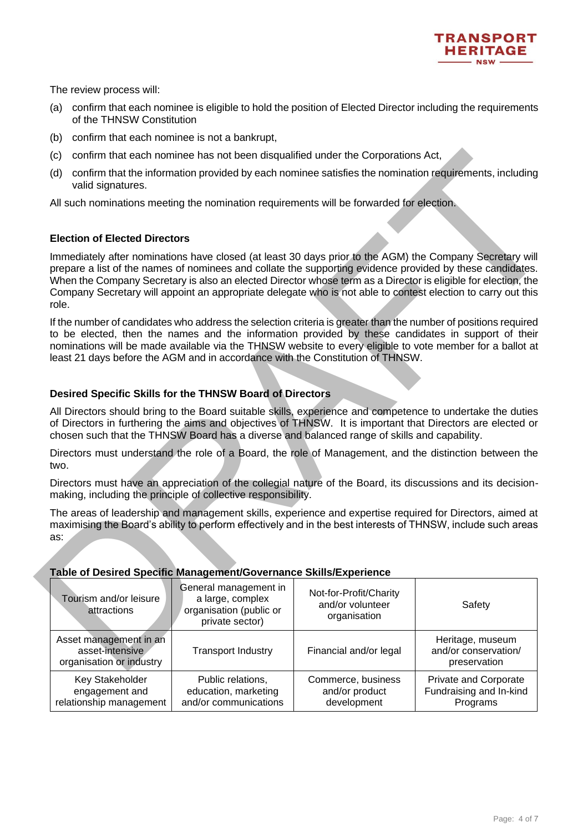

The review process will:

- (a) confirm that each nominee is eligible to hold the position of Elected Director including the requirements of the THNSW Constitution
- (b) confirm that each nominee is not a bankrupt,
- (c) confirm that each nominee has not been disqualified under the Corporations Act,
- (d) confirm that the information provided by each nominee satisfies the nomination requirements, including valid signatures.

# **Election of Elected Directors**

# **Desired Specific Skills for the THNSW Board of Directors**

## **Table of Desired Specific Management/Governance Skills/Experience**

| (c)                                                                                                                                                                                                                                                                                                                                                                                                                  | confirm that each nominee has not been disqualified under the Corporations Act,         |                                                            |                                                                                                           |
|----------------------------------------------------------------------------------------------------------------------------------------------------------------------------------------------------------------------------------------------------------------------------------------------------------------------------------------------------------------------------------------------------------------------|-----------------------------------------------------------------------------------------|------------------------------------------------------------|-----------------------------------------------------------------------------------------------------------|
| (d)<br>valid signatures.                                                                                                                                                                                                                                                                                                                                                                                             |                                                                                         |                                                            | confirm that the information provided by each nominee satisfies the nomination requirements, including    |
| All such nominations meeting the nomination requirements will be forwarded for election.                                                                                                                                                                                                                                                                                                                             |                                                                                         |                                                            |                                                                                                           |
| <b>Election of Elected Directors</b>                                                                                                                                                                                                                                                                                                                                                                                 |                                                                                         |                                                            |                                                                                                           |
| Immediately after nominations have closed (at least 30 days prior to the AGM) the Company Secretary will<br>When the Company Secretary is also an elected Director whose term as a Director is eligible for election, the<br>Company Secretary will appoint an appropriate delegate who is not able to contest election to carry out this<br>role.                                                                   |                                                                                         |                                                            | prepare a list of the names of nominees and collate the supporting evidence provided by these candidates. |
| If the number of candidates who address the selection criteria is greater than the number of positions required<br>to be elected, then the names and the information provided by these candidates in support of their<br>nominations will be made available via the THNSW website to every eligible to vote member for a ballot at<br>least 21 days before the AGM and in accordance with the Constitution of THNSW. |                                                                                         |                                                            |                                                                                                           |
| Desired Specific Skills for the THNSW Board of Directors                                                                                                                                                                                                                                                                                                                                                             |                                                                                         |                                                            |                                                                                                           |
| All Directors should bring to the Board suitable skills, experience and competence to undertake the duties<br>of Directors in furthering the aims and objectives of THNSW. It is important that Directors are elected or<br>chosen such that the THNSW Board has a diverse and balanced range of skills and capability.                                                                                              |                                                                                         |                                                            |                                                                                                           |
| Directors must understand the role of a Board, the role of Management, and the distinction between the<br>two.                                                                                                                                                                                                                                                                                                       |                                                                                         |                                                            |                                                                                                           |
| Directors must have an appreciation of the collegial nature of the Board, its discussions and its decision-<br>making, including the principle of collective responsibility.                                                                                                                                                                                                                                         |                                                                                         |                                                            |                                                                                                           |
| maximising the Board's ability to perform effectively and in the best interests of THNSW, include such areas<br>as:<br>Table of Desired Specific Management/Governance Skills/Experience                                                                                                                                                                                                                             |                                                                                         |                                                            | The areas of leadership and management skills, experience and expertise required for Directors, aimed at  |
| Tourism and/or leisure<br>attractions                                                                                                                                                                                                                                                                                                                                                                                | General management in<br>a large, complex<br>organisation (public or<br>private sector) | Not-for-Profit/Charity<br>and/or volunteer<br>organisation | Safety                                                                                                    |
| Asset management in an<br>asset-intensive<br>organisation or industry                                                                                                                                                                                                                                                                                                                                                | <b>Transport Industry</b>                                                               | Financial and/or legal                                     | Heritage, museum<br>and/or conservation/<br>preservation                                                  |
| Key Stakeholder<br>engagement and<br>relationship management                                                                                                                                                                                                                                                                                                                                                         | Public relations,<br>education, marketing<br>and/or communications                      | Commerce, business<br>and/or product<br>development        | Private and Corporate<br>Fundraising and In-kind<br>Programs                                              |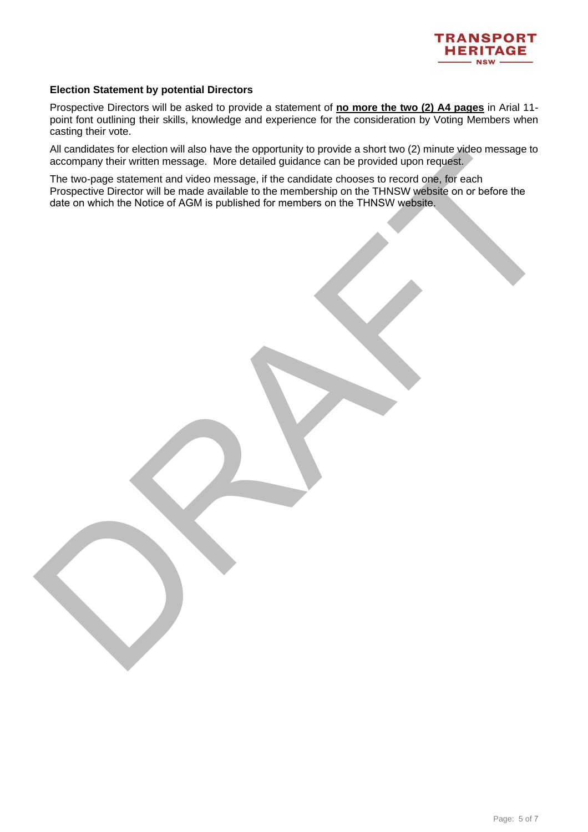

#### **Election Statement by potential Directors**

Prospective Directors will be asked to provide a statement of **no more the two (2) A4 pages** in Arial 11 point font outlining their skills, knowledge and experience for the consideration by Voting Members when casting their vote.

All candidates for election will also have the opportunity to provide a short two (2) minute video message to accompany their written message. More detailed guidance can be provided upon request.

An decompany that window measures the transformation of the provided upon receipts when measures to the propose state and only and the company that window measures to recent one in the propose the company that we also also The two-page statement and video message, if the candidate chooses to record one, for each Prospective Director will be made available to the membership on the THNSW website on or before the date on which the Notice of AGM is published for members on the THNSW website.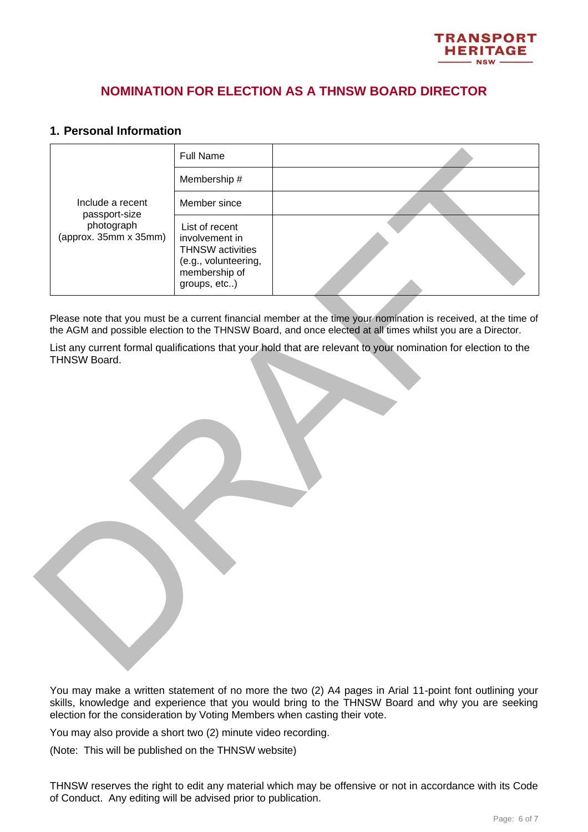

# **NOMINATION FOR ELECTION AS A THNSW BOARD DIRECTOR**

# **1. Personal Information**

|                                     | <b>Full Name</b>                                                                                                     |                                                                                                                                                                                                                               |
|-------------------------------------|----------------------------------------------------------------------------------------------------------------------|-------------------------------------------------------------------------------------------------------------------------------------------------------------------------------------------------------------------------------|
|                                     | Membership #                                                                                                         |                                                                                                                                                                                                                               |
| Include a recent<br>passport-size   | Member since                                                                                                         |                                                                                                                                                                                                                               |
| photograph<br>(approx. 35mm x 35mm) | List of recent<br>involvement in<br><b>THNSW</b> activities<br>(e.g., volunteering,<br>membership of<br>groups, etc) |                                                                                                                                                                                                                               |
|                                     |                                                                                                                      | Please note that you must be a current financial member at the time your nomination is received, at the time of<br>the AGM and possible election to the THNSW Board, and once elected at all times whilst you are a Director. |
| THNSW Board.                        |                                                                                                                      | List any current formal qualifications that your hold that are relevant to your nomination for election to the                                                                                                                |
|                                     |                                                                                                                      |                                                                                                                                                                                                                               |

You may make a written statement of no more the two (2) A4 pages in Arial 11-point font outlining your skills, knowledge and experience that you would bring to the THNSW Board and why you are seeking election for the consideration by Voting Members when casting their vote.

You may also provide a short two (2) minute video recording.

(Note: This will be published on the THNSW website)

THNSW reserves the right to edit any material which may be offensive or not in accordance with its Code of Conduct. Any editing will be advised prior to publication.